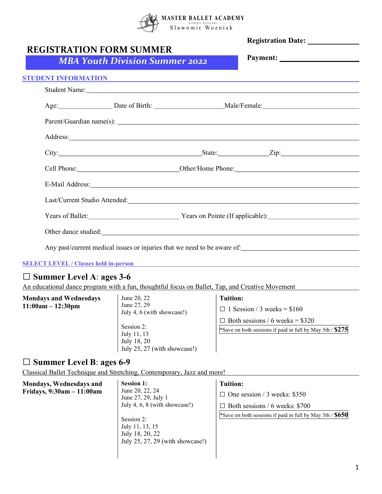

| <b>REGISTRATION FORM SUMMER</b> | <b>MBA Youth Division Summer 2022</b>                                                                                                                                                                                          |                 | Payment:                                                                                                                                                                                                                             |
|---------------------------------|--------------------------------------------------------------------------------------------------------------------------------------------------------------------------------------------------------------------------------|-----------------|--------------------------------------------------------------------------------------------------------------------------------------------------------------------------------------------------------------------------------------|
|                                 |                                                                                                                                                                                                                                |                 | STUDENT INFORMATION <b>Andrew Contract Contract Contract Contract Contract Contract Contract Contract Contract Contract Contract Contract Contract Contract Contract Contract Contract Contract Contract Contract Contract Contr</b> |
|                                 |                                                                                                                                                                                                                                |                 | Student Name: Name and Student Name and Student Name and Student Name and Student Name and Student Name and Student Name and Student Name and Student Name and Student Name and Student Name and Student Name and Student Name       |
|                                 |                                                                                                                                                                                                                                |                 | Age: Date of Birth: Male/Female:                                                                                                                                                                                                     |
|                                 |                                                                                                                                                                                                                                |                 |                                                                                                                                                                                                                                      |
|                                 |                                                                                                                                                                                                                                |                 | Address: Andreas Address: Address: Address: Address: Address: Address: Address: Address: Address: Address: Address: Address: Address: Address: Address: Address: Address: Address: Address: Address: Address: Address: Address       |
|                                 |                                                                                                                                                                                                                                |                 |                                                                                                                                                                                                                                      |
|                                 |                                                                                                                                                                                                                                |                 |                                                                                                                                                                                                                                      |
|                                 |                                                                                                                                                                                                                                |                 | E-Mail Address: No. 2014 12:30 and 2014 12:30 and 2014 12:30 and 2014 12:30 and 2014 12:30 and 2014 12:30 and 2014 12:30 and 2014 12:30 and 2014 12:30 and 2014 12:30 and 2014 12:30 and 2014 12:30 and 2014 12:30 and 2014 12       |
|                                 |                                                                                                                                                                                                                                |                 |                                                                                                                                                                                                                                      |
|                                 |                                                                                                                                                                                                                                |                 | Years of Ballet: <u>Vears on Pointe</u> (If applicable):                                                                                                                                                                             |
|                                 | Other dance studied: Note that the studies of the studies of the studies of the studies of the studies of the studies of the studies of the studies of the studies of the studies of the studies of the studies of the studies |                 |                                                                                                                                                                                                                                      |
|                                 |                                                                                                                                                                                                                                |                 | Any past/current medical issues or injuries that we need to be aware of:                                                                                                                                                             |
|                                 | <b>SELECT LEVEL / Classes held in-person <i>Classes held in-person</i></b>                                                                                                                                                     |                 |                                                                                                                                                                                                                                      |
| $\Box$ Summer Level A: ages 3-6 |                                                                                                                                                                                                                                |                 |                                                                                                                                                                                                                                      |
|                                 | An educational dance program with a fun, thoughtful focus on Ballet, Tap, and Creative Movement                                                                                                                                |                 |                                                                                                                                                                                                                                      |
| <b>Mondays and Wednesdays</b>   | June 20, 22                                                                                                                                                                                                                    | <b>Tuition:</b> |                                                                                                                                                                                                                                      |
| $11:00am - 12:30pm$             | June 27, 29<br>July 4, 6 (with showcase!)                                                                                                                                                                                      |                 | $\Box$ 1 Session / 3 weeks = \$160                                                                                                                                                                                                   |
|                                 |                                                                                                                                                                                                                                |                 | $\Box$ Both sessions / 6 weeks = \$320                                                                                                                                                                                               |

| $\Box$ Summer Level B: ages 6-9 |  |  |  |  |  |
|---------------------------------|--|--|--|--|--|
|---------------------------------|--|--|--|--|--|

Classical Ballet Technique and Stretching, Contemporary, Jazz and more!

Session 2: July 11, 13 July 18, 20

July 25, 27 (with showcase!)

| Mondays, Wednesdays and<br>Fridays, 9:30am - 11:00am | <b>Session 1:</b><br>June 20, 22, 24<br>June 27, 29, July 1<br>July 4, 6, 8 (with showcase!)<br>Session 2:<br>July 11, 13, 15<br>July 18, 20, 22<br>July 25, 27, 29 (with showcase!) | <b>Tuition:</b><br>$\Box$ One session / 3 weeks: \$350<br>$\Box$ Both sessions / 6 weeks: \$700<br>*Save on both sessions if paid in full by May 5th / \$650 |
|------------------------------------------------------|--------------------------------------------------------------------------------------------------------------------------------------------------------------------------------------|--------------------------------------------------------------------------------------------------------------------------------------------------------------|
|------------------------------------------------------|--------------------------------------------------------------------------------------------------------------------------------------------------------------------------------------|--------------------------------------------------------------------------------------------------------------------------------------------------------------|

\*Save on both sessions if paid in full by May 5th / \$275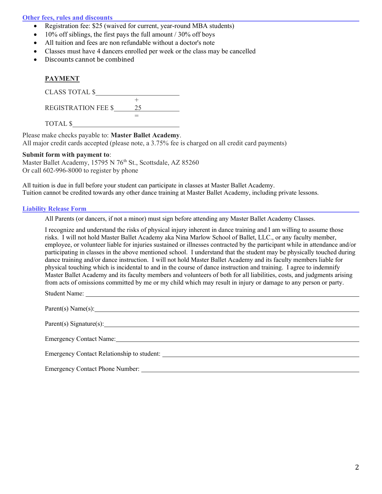### Other fees, rules and discounts

- Registration fee: \$25 (waived for current, year-round MBA students)
- $\bullet$  10% off siblings, the first pays the full amount / 30% off boys
- All tuition and fees are non refundable without a doctor's note
- Classes must have 4 dancers enrolled per week or the class may be cancelled
- Discounts cannot be combined

# **PAYMENT**  $C<sup>I</sup>$  ass to talk  $\ell$

| CLADD TOTAL Q              |  |
|----------------------------|--|
|                            |  |
| <b>REGISTRATION FEE \$</b> |  |
|                            |  |
| TOTAL \$                   |  |

Please make checks payable to: Master Ballet Academy.

All major credit cards accepted (please note, a 3.75% fee is charged on all credit card payments)

#### Submit form with payment to:

Master Ballet Academy, 15795 N 76<sup>th</sup> St., Scottsdale, AZ 85260 Or call 602-996-8000 to register by phone

All tuition is due in full before your student can participate in classes at Master Ballet Academy. Tuition cannot be credited towards any other dance training at Master Ballet Academy, including private lessons.

#### Liability Release Form

All Parents (or dancers, if not a minor) must sign before attending any Master Ballet Academy Classes.

I recognize and understand the risks of physical injury inherent in dance training and I am willing to assume those risks. I will not hold Master Ballet Academy aka Nina Marlow School of Ballet, LLC., or any faculty member, employee, or volunteer liable for injuries sustained or illnesses contracted by the participant while in attendance and/or participating in classes in the above mentioned school. I understand that the student may be physically touched during dance training and/or dance instruction. I will not hold Master Ballet Academy and its faculty members liable for physical touching which is incidental to and in the course of dance instruction and training. I agree to indemnify Master Ballet Academy and its faculty members and volunteers of both for all liabilities, costs, and judgments arising from acts of omissions committed by me or my child which may result in injury or damage to any person or party.

Student Name:

| Parent(s) Name(s):                         |
|--------------------------------------------|
|                                            |
| <b>Emergency Contact Name:</b>             |
| Emergency Contact Relationship to student: |

Emergency Contact Phone Number: